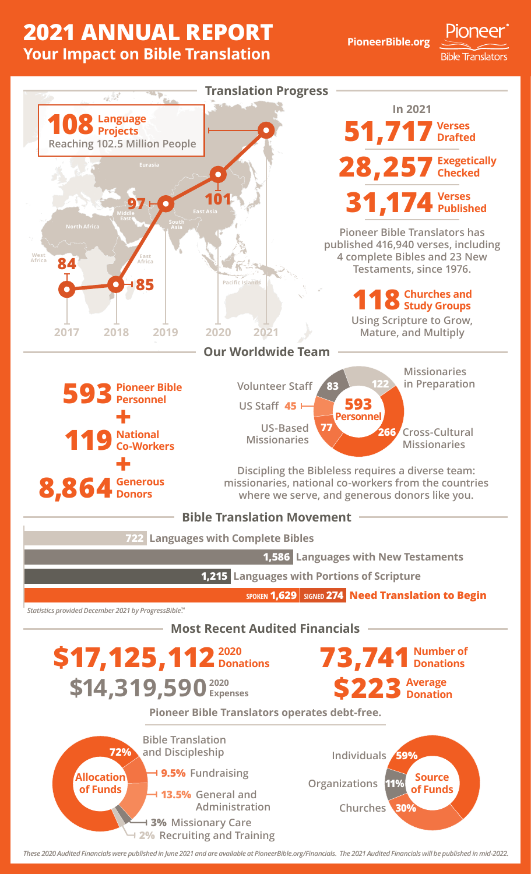## **2021 ANNUAL REPORT Your Impact on Bible Translation**

**PioneerBible.org**

Pioneer

**Bible Translators** 



*These 2020 Audited Financials were published in June 2021 and are available at PioneerBible.org/Financials. The 2021 Audited Financials will be published in mid-2022.*